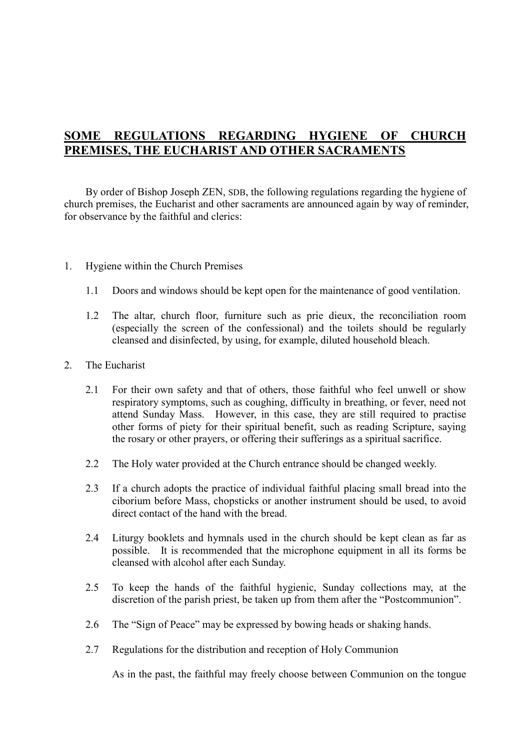# SOME REGULATIONS REGARDING HYGIENE OF CHURCH PREMISES, THE EUCHARIST AND OTHER SACRAMENTS

 By order of Bishop Joseph ZEN, SDB, the following regulations regarding the hygiene of church premises, the Eucharist and other sacraments are announced again by way of reminder, for observance by the faithful and clerics:

- 1. Hygiene within the Church Premises
	- 1.1 Doors and windows should be kept open for the maintenance of good ventilation.
	- 1.2 The altar, church floor, furniture such as prie dieux, the reconciliation room (especially the screen of the confessional) and the toilets should be regularly cleansed and disinfected, by using, for example, diluted household bleach.
- 2. The Eucharist
	- 2.1 For their own safety and that of others, those faithful who feel unwell or show respiratory symptoms, such as coughing, difficulty in breathing, or fever, need not attend Sunday Mass. However, in this case, they are still required to practise other forms of piety for their spiritual benefit, such as reading Scripture, saying the rosary or other prayers, or offering their sufferings as a spiritual sacrifice.
	- 2.2 The Holy water provided at the Church entrance should be changed weekly.
	- 2.3 If a church adopts the practice of individual faithful placing small bread into the ciborium before Mass, chopsticks or another instrument should be used, to avoid direct contact of the hand with the bread.
	- 2.4 Liturgy booklets and hymnals used in the church should be kept clean as far as possible. It is recommended that the microphone equipment in all its forms be cleansed with alcohol after each Sunday.
	- 2.5 To keep the hands of the faithful hygienic, Sunday collections may, at the discretion of the parish priest, be taken up from them after the "Postcommunion".
	- 2.6 The "Sign of Peace" may be expressed by bowing heads or shaking hands.
	- 2.7 Regulations for the distribution and reception of Holy Communion

As in the past, the faithful may freely choose between Communion on the tongue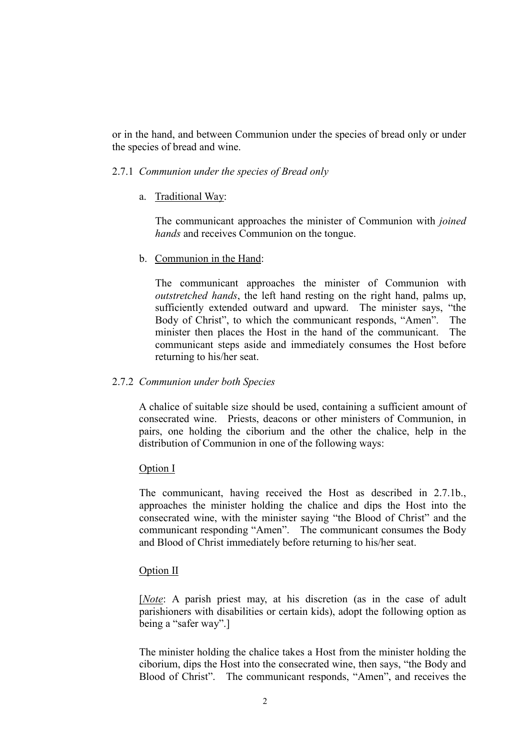or in the hand, and between Communion under the species of bread only or under the species of bread and wine.

#### 2.7.1 Communion under the species of Bread only

a. Traditional Way:

The communicant approaches the minister of Communion with joined hands and receives Communion on the tongue.

b. Communion in the Hand:

The communicant approaches the minister of Communion with outstretched hands, the left hand resting on the right hand, palms up, sufficiently extended outward and upward. The minister says, "the Body of Christ", to which the communicant responds, "Amen". The minister then places the Host in the hand of the communicant. The communicant steps aside and immediately consumes the Host before returning to his/her seat.

## 2.7.2 Communion under both Species

 A chalice of suitable size should be used, containing a sufficient amount of consecrated wine. Priests, deacons or other ministers of Communion, in pairs, one holding the ciborium and the other the chalice, help in the distribution of Communion in one of the following ways:

#### Option I

The communicant, having received the Host as described in 2.7.1b., approaches the minister holding the chalice and dips the Host into the consecrated wine, with the minister saying "the Blood of Christ" and the communicant responding "Amen". The communicant consumes the Body and Blood of Christ immediately before returning to his/her seat.

## Option II

[*Note*: A parish priest may, at his discretion (as in the case of adult parishioners with disabilities or certain kids), adopt the following option as being a "safer way".]

The minister holding the chalice takes a Host from the minister holding the ciborium, dips the Host into the consecrated wine, then says, "the Body and Blood of Christ". The communicant responds, "Amen", and receives the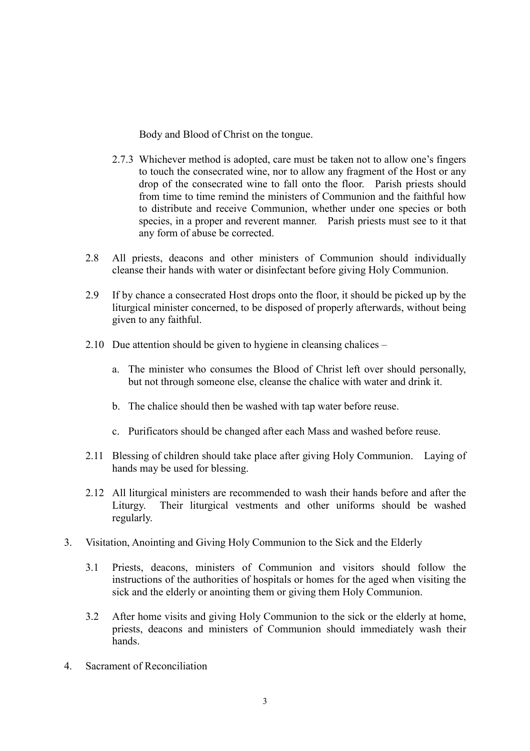Body and Blood of Christ on the tongue.

- 2.7.3 Whichever method is adopted, care must be taken not to allow one's fingers to touch the consecrated wine, nor to allow any fragment of the Host or any drop of the consecrated wine to fall onto the floor. Parish priests should from time to time remind the ministers of Communion and the faithful how to distribute and receive Communion, whether under one species or both species, in a proper and reverent manner. Parish priests must see to it that any form of abuse be corrected.
- 2.8 All priests, deacons and other ministers of Communion should individually cleanse their hands with water or disinfectant before giving Holy Communion.
- 2.9 If by chance a consecrated Host drops onto the floor, it should be picked up by the liturgical minister concerned, to be disposed of properly afterwards, without being given to any faithful.
- 2.10 Due attention should be given to hygiene in cleansing chalices
	- a. The minister who consumes the Blood of Christ left over should personally, but not through someone else, cleanse the chalice with water and drink it.
	- b. The chalice should then be washed with tap water before reuse.
	- c. Purificators should be changed after each Mass and washed before reuse.
- 2.11 Blessing of children should take place after giving Holy Communion. Laying of hands may be used for blessing.
- 2.12 All liturgical ministers are recommended to wash their hands before and after the Liturgy. Their liturgical vestments and other uniforms should be washed regularly.
- 3. Visitation, Anointing and Giving Holy Communion to the Sick and the Elderly
	- 3.1 Priests, deacons, ministers of Communion and visitors should follow the instructions of the authorities of hospitals or homes for the aged when visiting the sick and the elderly or anointing them or giving them Holy Communion.
	- 3.2 After home visits and giving Holy Communion to the sick or the elderly at home, priests, deacons and ministers of Communion should immediately wash their hands.
- 4. Sacrament of Reconciliation